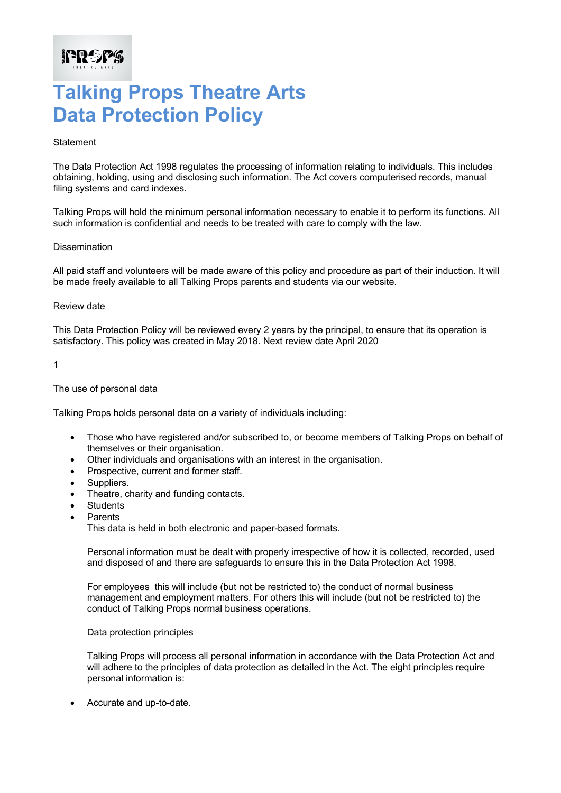## **Talking Props Theatre Arts Data Protection Policy**

### **Statement**

**IPROPS** 

The Data Protection Act 1998 regulates the processing of information relating to individuals. This includes obtaining, holding, using and disclosing such information. The Act covers computerised records, manual filing systems and card indexes.

Talking Props will hold the minimum personal information necessary to enable it to perform its functions. All such information is confidential and needs to be treated with care to comply with the law.

### **Dissemination**

All paid staff and volunteers will be made aware of this policy and procedure as part of their induction. It will be made freely available to all Talking Props parents and students via our website.

### Review date

This Data Protection Policy will be reviewed every 2 years by the principal, to ensure that its operation is satisfactory. This policy was created in May 2018. Next review date April 2020

#### 1

### The use of personal data

Talking Props holds personal data on a variety of individuals including:

- Those who have registered and/or subscribed to, or become members of Talking Props on behalf of themselves or their organisation.
- Other individuals and organisations with an interest in the organisation.
- Prospective, current and former staff.
- Suppliers.
- Theatre, charity and funding contacts.
- **Students**
- Parents

This data is held in both electronic and paper-based formats.

Personal information must be dealt with properly irrespective of how it is collected, recorded, used and disposed of and there are safeguards to ensure this in the Data Protection Act 1998.

For employees this will include (but not be restricted to) the conduct of normal business management and employment matters. For others this will include (but not be restricted to) the conduct of Talking Props normal business operations.

Data protection principles

Talking Props will process all personal information in accordance with the Data Protection Act and will adhere to the principles of data protection as detailed in the Act. The eight principles require personal information is:

• Accurate and up-to-date.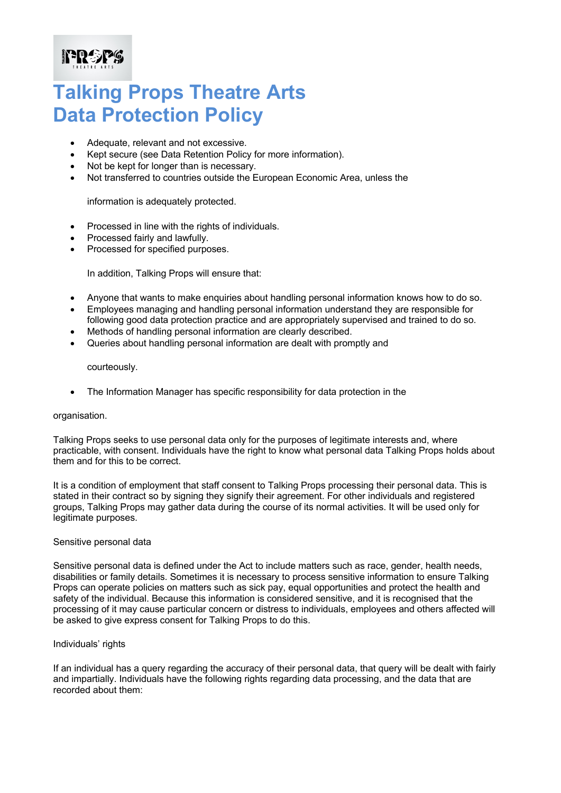## **FREES**

## **Talking Props Theatre Arts Data Protection Policy**

- Adequate, relevant and not excessive.
- Kept secure (see Data Retention Policy for more information).
- Not be kept for longer than is necessary.
- Not transferred to countries outside the European Economic Area, unless the

information is adequately protected.

- Processed in line with the rights of individuals.
- Processed fairly and lawfully.
- Processed for specified purposes.

In addition, Talking Props will ensure that:

- Anyone that wants to make enquiries about handling personal information knows how to do so.
- Employees managing and handling personal information understand they are responsible for following good data protection practice and are appropriately supervised and trained to do so.
- Methods of handling personal information are clearly described.
- Queries about handling personal information are dealt with promptly and

courteously.

• The Information Manager has specific responsibility for data protection in the

### organisation.

Talking Props seeks to use personal data only for the purposes of legitimate interests and, where practicable, with consent. Individuals have the right to know what personal data Talking Props holds about them and for this to be correct.

It is a condition of employment that staff consent to Talking Props processing their personal data. This is stated in their contract so by signing they signify their agreement. For other individuals and registered groups, Talking Props may gather data during the course of its normal activities. It will be used only for legitimate purposes.

### Sensitive personal data

Sensitive personal data is defined under the Act to include matters such as race, gender, health needs, disabilities or family details. Sometimes it is necessary to process sensitive information to ensure Talking Props can operate policies on matters such as sick pay, equal opportunities and protect the health and safety of the individual. Because this information is considered sensitive, and it is recognised that the processing of it may cause particular concern or distress to individuals, employees and others affected will be asked to give express consent for Talking Props to do this.

### Individuals' rights

If an individual has a query regarding the accuracy of their personal data, that query will be dealt with fairly and impartially. Individuals have the following rights regarding data processing, and the data that are recorded about them: